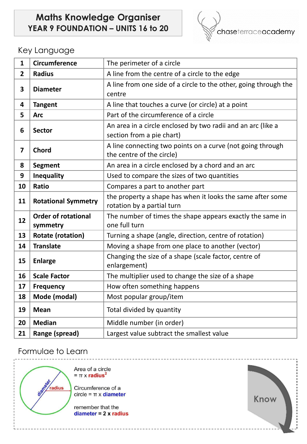# **Maths Knowledge Organiser YEAR 9 FOUNDATION – UNITS 16 to 20**



#### Key Language

| $\mathbf{1}$   | <b>Circumference</b>                   | The perimeter of a circle                                                                 |
|----------------|----------------------------------------|-------------------------------------------------------------------------------------------|
| $\overline{2}$ | <b>Radius</b>                          | A line from the centre of a circle to the edge                                            |
| 3              | <b>Diameter</b>                        | A line from one side of a circle to the other, going through the<br>centre                |
| 4              | <b>Tangent</b>                         | A line that touches a curve (or circle) at a point                                        |
| 5              | <b>Arc</b>                             | Part of the circumference of a circle                                                     |
| 6              | <b>Sector</b>                          | An area in a circle enclosed by two radii and an arc (like a<br>section from a pie chart) |
| $\overline{7}$ | <b>Chord</b>                           | A line connecting two points on a curve (not going through<br>the centre of the circle)   |
| 8              | <b>Segment</b>                         | An area in a circle enclosed by a chord and an arc                                        |
| 9              | <b>Inequality</b>                      | Used to compare the sizes of two quantities                                               |
| 10             | <b>Ratio</b>                           | Compares a part to another part                                                           |
| 11             | <b>Rotational Symmetry</b>             | the property a shape has when it looks the same after some<br>rotation by a partial turn  |
| 12             | <b>Order of rotational</b><br>symmetry | The number of times the shape appears exactly the same in<br>one full turn                |
| 13             | <b>Rotate (rotation)</b>               | Turning a shape (angle, direction, centre of rotation)                                    |
| 14             | <b>Translate</b>                       | Moving a shape from one place to another (vector)                                         |
| 15             | <b>Enlarge</b>                         | Changing the size of a shape (scale factor, centre of<br>enlargement)                     |
| 16             | <b>Scale Factor</b>                    | The multiplier used to change the size of a shape                                         |
| 17             | <b>Frequency</b>                       | How often something happens                                                               |
| 18             | Mode (modal)                           | Most popular group/item                                                                   |
| 19             | <b>Mean</b>                            | Total divided by quantity                                                                 |
| 20             | <b>Median</b>                          | Middle number (in order)                                                                  |
| 21             | Range (spread)                         | Largest value subtract the smallest value                                                 |

## Formulae to Learn

radius

Area of a circle  $= \pi \times$  radius<sup>2</sup>

Circumference of a  $circle = \pi \times diameter$ 

remember that the diameter =  $2 \times$  radius

<u> - - - - - - - - -</u>

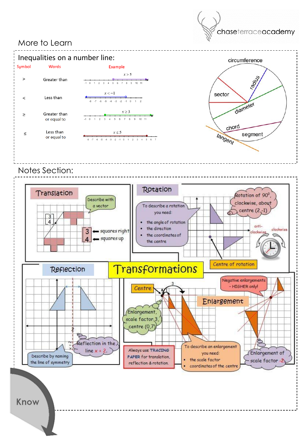### More to Learn





Notes Section: